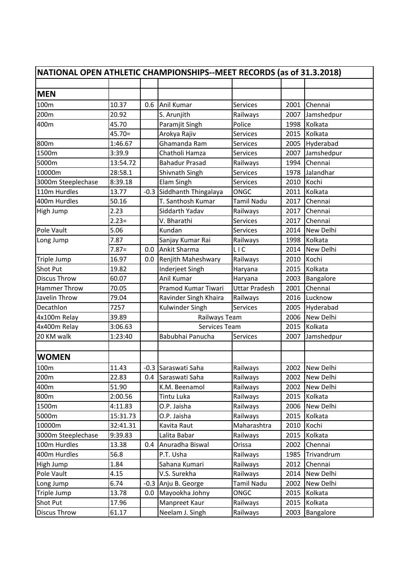| NATIONAL OPEN ATHLETIC CHAMPIONSHIPS--MEET RECORDS (as of 31.3.2018) |          |        |                       |                      |      |                  |  |  |  |
|----------------------------------------------------------------------|----------|--------|-----------------------|----------------------|------|------------------|--|--|--|
|                                                                      |          |        |                       |                      |      |                  |  |  |  |
| <b>MEN</b>                                                           |          |        |                       |                      |      |                  |  |  |  |
| 100m                                                                 | 10.37    | 0.6    | Anil Kumar            | Services             | 2001 | Chennai          |  |  |  |
| 200m                                                                 | 20.92    |        | S. Arunjith           | Railways             | 2007 | Jamshedpur       |  |  |  |
| 400m                                                                 | 45.70    |        | Paramjit Singh        | Police               | 1998 | Kolkata          |  |  |  |
|                                                                      | $45.70=$ |        | Arokya Rajiv          | Services             | 2015 | Kolkata          |  |  |  |
| 800m                                                                 | 1:46.67  |        | Ghamanda Ram          | Services             | 2005 | Hyderabad        |  |  |  |
| 1500m                                                                | 3:39.9   |        | Chatholi Hamza        | Services             | 2007 | Jamshedpur       |  |  |  |
| 5000m                                                                | 13:54.72 |        | <b>Bahadur Prasad</b> | Railways             | 1994 | Chennai          |  |  |  |
| 10000m                                                               | 28:58.1  |        | Shivnath Singh        | Services             | 1978 | Jalandhar        |  |  |  |
| 3000m Steeplechase                                                   | 8:39.18  |        | Elam Singh            | Services             | 2010 | Kochi            |  |  |  |
| 110m Hurdles                                                         | 13.77    | $-0.3$ | Siddhanth Thingalaya  | <b>ONGC</b>          | 2011 | Kolkata          |  |  |  |
| 400m Hurdles                                                         | 50.16    |        | T. Santhosh Kumar     | <b>Tamil Nadu</b>    | 2017 | Chennai          |  |  |  |
| High Jump                                                            | 2.23     |        | Siddarth Yadav        | Railways             | 2017 | Chennai          |  |  |  |
|                                                                      | $2.23=$  |        | V. Bharathi           | Services             | 2017 | Chennai          |  |  |  |
| Pole Vault                                                           | 5.06     |        | Kundan                | Services             | 2014 | New Delhi        |  |  |  |
| Long Jump                                                            | 7.87     |        | Sanjay Kumar Rai      | Railways             | 1998 | Kolkata          |  |  |  |
|                                                                      | $7.87=$  | 0.0    | Ankit Sharma          | <b>LIC</b>           | 2014 | New Delhi        |  |  |  |
| Triple Jump                                                          | 16.97    | 0.0    | Renjith Maheshwary    | Railways             | 2010 | Kochi            |  |  |  |
| <b>Shot Put</b>                                                      | 19.82    |        | Inderjeet Singh       | Haryana              | 2015 | Kolkata          |  |  |  |
| <b>Discus Throw</b>                                                  | 60.07    |        | Anil Kumar            | Haryana              | 2003 | Bangalore        |  |  |  |
| <b>Hammer Throw</b>                                                  | 70.05    |        | Pramod Kumar Tiwari   | <b>Uttar Pradesh</b> | 2001 | Chennai          |  |  |  |
| Javelin Throw                                                        | 79.04    |        | Ravinder Singh Khaira | Railways             | 2016 | Lucknow          |  |  |  |
| Decathlon                                                            | 7257     |        | Kulwinder Singh       | Services             | 2005 | Hyderabad        |  |  |  |
| 4x100m Relay                                                         | 39.89    |        | Railways Team         |                      | 2006 | New Delhi        |  |  |  |
| 4x400m Relay                                                         | 3:06.63  |        | Services Team         |                      | 2015 | Kolkata          |  |  |  |
| 20 KM walk                                                           | 1:23:40  |        | Babubhai Panucha      | Services             | 2007 | Jamshedpur       |  |  |  |
|                                                                      |          |        |                       |                      |      |                  |  |  |  |
| <b>WOMEN</b>                                                         |          |        |                       |                      |      |                  |  |  |  |
| 100m                                                                 | 11.43    |        | -0.3 Saraswati Saha   | Railways             | 2002 | New Delhi        |  |  |  |
| 200 <sub>m</sub>                                                     | 22.83    |        | 0.4 Saraswati Saha    | Railways             | 2002 | <b>New Delhi</b> |  |  |  |
| 400m                                                                 | 51.90    |        | K.M. Beenamol         | Railways             | 2002 | New Delhi        |  |  |  |
| 800m                                                                 | 2:00.56  |        | Tintu Luka            | Railways             | 2015 | Kolkata          |  |  |  |
| 1500m                                                                | 4:11.83  |        | O.P. Jaisha           | Railways             | 2006 | New Delhi        |  |  |  |
| 5000m                                                                | 15:31.73 |        | O.P. Jaisha           | Railways             | 2015 | Kolkata          |  |  |  |
| 10000m                                                               | 32:41.31 |        | Kavita Raut           | Maharashtra          | 2010 | Kochi            |  |  |  |
| 3000m Steeplechase                                                   | 9:39.83  |        | Lalita Babar          | Railways             | 2015 | Kolkata          |  |  |  |
| 100m Hurdles                                                         | 13.38    | 0.4    | Anuradha Biswal       | Orissa               | 2002 | Chennai          |  |  |  |
| 400m Hurdles                                                         | 56.8     |        | P.T. Usha             | Railways             | 1985 | Trivandrum       |  |  |  |
| High Jump                                                            | 1.84     |        | Sahana Kumari         | Railways             | 2012 | Chennai          |  |  |  |
| Pole Vault                                                           | 4.15     |        | V.S. Surekha          | Railways             | 2014 | New Delhi        |  |  |  |
| Long Jump                                                            | 6.74     | $-0.3$ | Anju B. George        | Tamil Nadu           | 2002 | New Delhi        |  |  |  |
| Triple Jump                                                          | 13.78    | 0.0    | Mayookha Johny        | ONGC                 | 2015 | Kolkata          |  |  |  |
| <b>Shot Put</b>                                                      | 17.96    |        | Manpreet Kaur         | Railways             | 2015 | Kolkata          |  |  |  |
| <b>Discus Throw</b>                                                  | 61.17    |        | Neelam J. Singh       | Railways             | 2003 | Bangalore        |  |  |  |